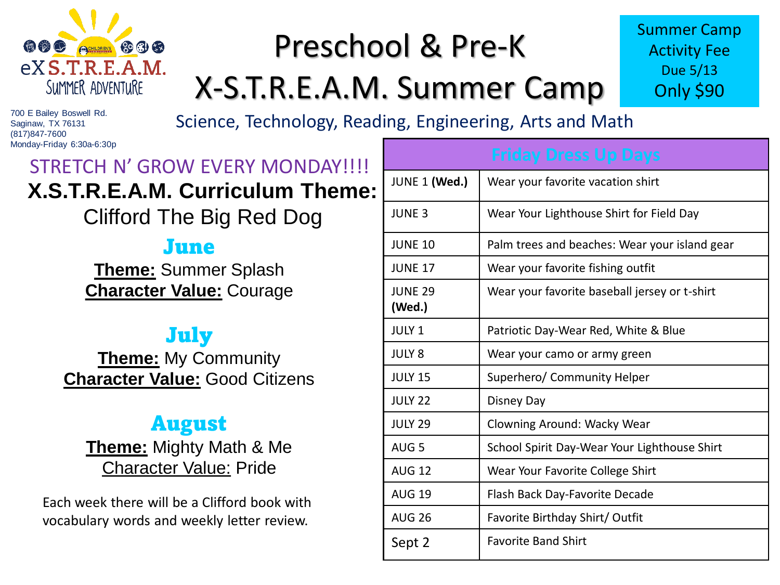

# Preschool & Pre-K X-S.T.R.E.A.M. Summer Camp

Summer Camp Activity Fee Due 5/13 Only \$90

700 E Bailey Boswell Rd. Saginaw, TX 76131 (817)847-7600 Monday-Friday 6:30a-6:30p

Science, Technology, Reading, Engineering, Arts and Math

# STRETCH N' GROW EVERY MONDAY!!!! **X.S.T.R.E.A.M. Curriculum Theme:**

Clifford The Big Red Dog

#### June

**Theme:** Summer Splash **Character Value:** Courage

### July

**Theme:** My Community **Character Value:** Good Citizens

## August

**Theme:** Mighty Math & Me Character Value: Pride

Each week there will be a Clifford book with vocabulary words and weekly letter review.

| <b>Friday Dress Up Days</b> |                                               |  |  |  |
|-----------------------------|-----------------------------------------------|--|--|--|
| JUNE 1 (Wed.)               | Wear your favorite vacation shirt             |  |  |  |
| <b>JUNE 3</b>               | Wear Your Lighthouse Shirt for Field Day      |  |  |  |
| <b>JUNE 10</b>              | Palm trees and beaches: Wear your island gear |  |  |  |
| <b>JUNE 17</b>              | Wear your favorite fishing outfit             |  |  |  |
| <b>JUNE 29</b><br>(Wed.)    | Wear your favorite baseball jersey or t-shirt |  |  |  |
| <b>JULY 1</b>               | Patriotic Day-Wear Red, White & Blue          |  |  |  |
| <b>JULY 8</b>               | Wear your camo or army green                  |  |  |  |
| <b>JULY 15</b>              | Superhero/ Community Helper                   |  |  |  |
| <b>JULY 22</b>              | Disney Day                                    |  |  |  |
| <b>JULY 29</b>              | Clowning Around: Wacky Wear                   |  |  |  |
| AUG <sub>5</sub>            | School Spirit Day-Wear Your Lighthouse Shirt  |  |  |  |
| <b>AUG 12</b>               | Wear Your Favorite College Shirt              |  |  |  |
| <b>AUG 19</b>               | Flash Back Day-Favorite Decade                |  |  |  |
| <b>AUG 26</b>               | Favorite Birthday Shirt/ Outfit               |  |  |  |
| Sept 2                      | <b>Favorite Band Shirt</b>                    |  |  |  |